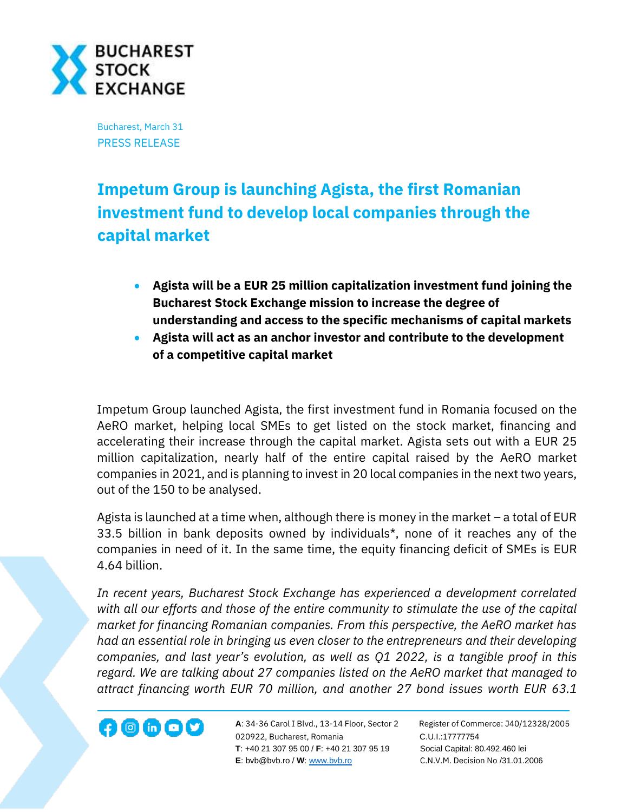

Bucharest, March 31 PRESS RELEASE

# **Impetum Group is launching Agista, the first Romanian investment fund to develop local companies through the capital market**

- **Agista will be a EUR 25 million capitalization investment fund joining the Bucharest Stock Exchange mission to increase the degree of understanding and access to the specific mechanisms of capital markets**
- **Agista will act as an anchor investor and contribute to the development of a competitive capital market**

Impetum Group launched Agista, the first investment fund in Romania focused on the AeRO market, helping local SMEs to get listed on the stock market, financing and accelerating their increase through the capital market. Agista sets out with a EUR 25 million capitalization, nearly half of the entire capital raised by the AeRO market companies in 2021, and is planning to invest in 20 local companies in the next two years, out of the 150 to be analysed.

Agista is launched at a time when, although there is money in the market – a total of EUR 33.5 billion in bank deposits owned by individuals\*, none of it reaches any of the companies in need of it. In the same time, the equity financing deficit of SMEs is EUR 4.64 billion.

*In recent years, Bucharest Stock Exchange has experienced a development correlated with all our efforts and those of the entire community to stimulate the use of the capital market for financing Romanian companies. From this perspective, the AeRO market has had an essential role in bringing us even closer to the entrepreneurs and their developing companies, and last year's evolution, as well as Q1 2022, is a tangible proof in this regard. We are talking about 27 companies listed on the AeRO market that managed to attract financing worth EUR 70 million, and another 27 bond issues worth EUR 63.1* 



**A**: 34-36 Carol I Blvd., 13-14 Floor, Sector 2 Register of Commerce: J40/12328/2005 **1200 CD CD CD** A: 34-36 Carol I Blvd., 13-14 Floor, Sector 2 Register of Comm<br>020922, Bucharest, Romania C.U.I.:17777754  **T**: +40 21 307 95 00 / **F**: +40 21 307 95 19 Social Capital: 80.492.460 lei **E**: bvb@bvb.ro / **W**[: www.bvb.ro](http://www.bvb.ro/) C.N.V.M. Decision No /31.01.2006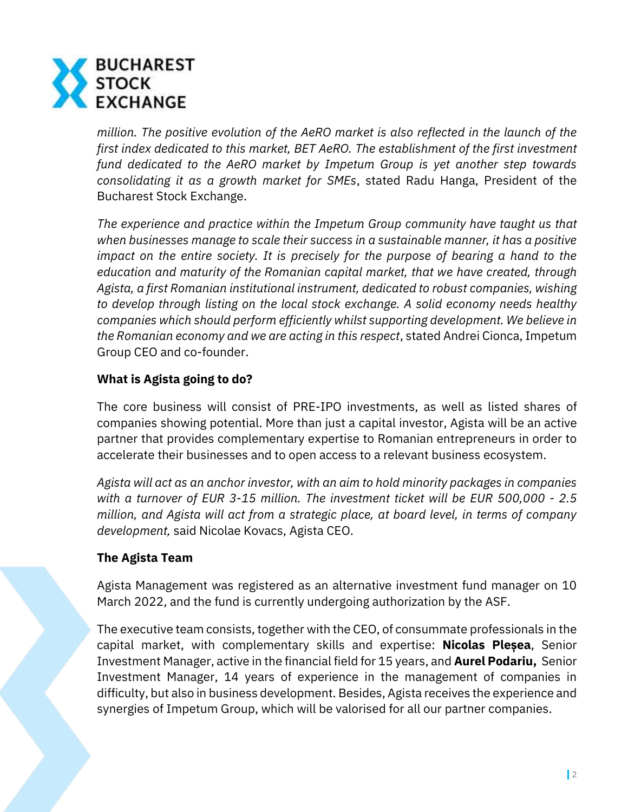

*million. The positive evolution of the AeRO market is also reflected in the launch of the first index dedicated to this market, BET AeRO. The establishment of the first investment fund dedicated to the AeRO market by Impetum Group is yet another step towards consolidating it as a growth market for SMEs*, stated Radu Hanga, President of the Bucharest Stock Exchange.

*The experience and practice within the Impetum Group community have taught us that when businesses manage to scale their success in a sustainable manner, it has a positive impact on the entire society. It is precisely for the purpose of bearing a hand to the education and maturity of the Romanian capital market, that we have created, through Agista, a first Romanian institutional instrument, dedicated to robust companies, wishing to develop through listing on the local stock exchange. A solid economy needs healthy companies which should perform efficiently whilst supporting development. We believe in the Romanian economy and we are acting in this respect*, stated Andrei Cionca, Impetum Group CEO and co-founder.

# **What is Agista going to do?**

The core business will consist of PRE-IPO investments, as well as listed shares of companies showing potential. More than just a capital investor, Agista will be an active partner that provides complementary expertise to Romanian entrepreneurs in order to accelerate their businesses and to open access to a relevant business ecosystem.

*Agista will act as an anchor investor, with an aim to hold minority packages in companies with a turnover of EUR 3-15 million. The investment ticket will be EUR 500,000 - 2.5 million, and Agista will act from a strategic place, at board level, in terms of company development,* said Nicolae Kovacs, Agista CEO.

# **The Agista Team**

Agista Management was registered as an alternative investment fund manager on 10 March 2022, and the fund is currently undergoing authorization by the ASF.

The executive team consists, together with the CEO, of consummate professionals in the capital market, with complementary skills and expertise: **Nicolas Pleșea**, Senior Investment Manager, active in the financial field for 15 years, and **Aurel Podariu,** Senior Investment Manager, 14 years of experience in the management of companies in difficulty, but also in business development. Besides, Agista receives the experience and synergies of Impetum Group, which will be valorised for all our partner companies.